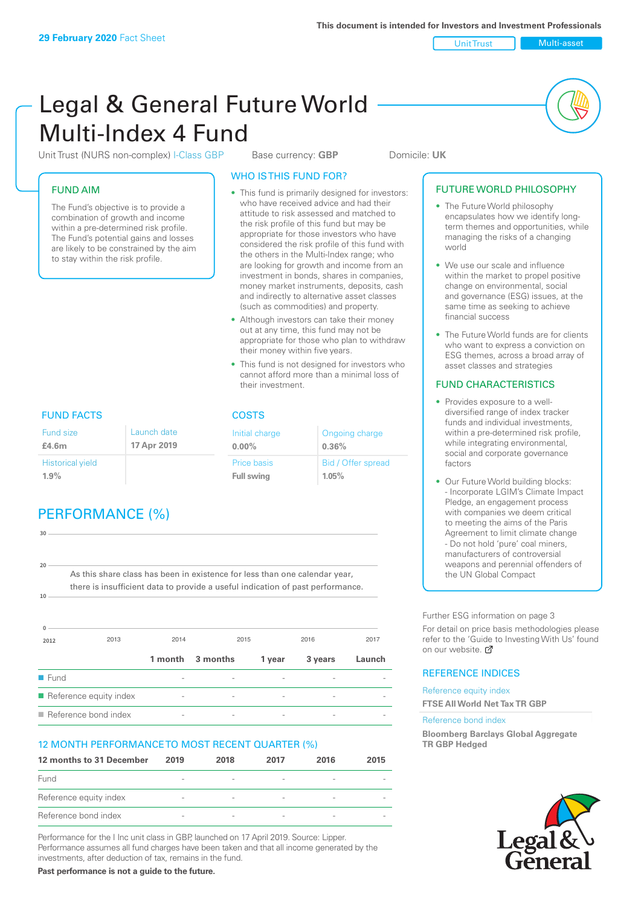Unit Trust Multi-asset

# Legal & General Future World Multi-Index 4 Fund

Unit Trust (NURS non-complex) I-Class GBP Base currency: **GBP** Domicile: UK

### FUND AIM

The Fund's objective is to provide a combination of growth and income within a pre-determined risk profile. The Fund's potential gains and losses are likely to be constrained by the aim to stay within the risk profile.

### WHO IS THIS FUND FOR?

- This fund is primarily designed for investors: who have received advice and had their attitude to risk assessed and matched to the risk profile of this fund but may be appropriate for those investors who have considered the risk profile of this fund with the others in the Multi-Index range; who are looking for growth and income from an investment in bonds, shares in companies, money market instruments, deposits, cash and indirectly to alternative asset classes (such as commodities) and property.
- Although investors can take their money out at any time, this fund may not be appropriate for those who plan to withdraw their money within five years.
- This fund is not designed for investors who cannot afford more than a minimal loss of their investment.

Ongoing charge

Bid / Offer spread

**0.36%**

**1.05%**

Initial charge **0.00%**

Price basis **Full swing**

# FUND FACTS COSTS

| Fund size<br>£4.6m      | Launch date<br>17 Apr 2019 |
|-------------------------|----------------------------|
| <b>Historical yield</b> |                            |
| 1.9%                    |                            |

# PERFORMANCE (%)

| 30   |                                                                                |      |                  |        |         |        |
|------|--------------------------------------------------------------------------------|------|------------------|--------|---------|--------|
|      |                                                                                |      |                  |        |         |        |
| 20   | As this share class has been in existence for less than one calendar year,     |      |                  |        |         |        |
|      | there is insufficient data to provide a useful indication of past performance. |      |                  |        |         |        |
| 10   |                                                                                |      |                  |        |         |        |
|      |                                                                                |      |                  |        |         |        |
| 2012 | 2013                                                                           | 2014 | 2015             |        | 2016    | 2017   |
|      |                                                                                |      |                  |        |         |        |
|      |                                                                                |      | 1 month 3 months | 1 year | 3 years | Launch |
| Fund |                                                                                |      |                  |        |         |        |

 $\blacksquare$  Reference bond index

### 12 MONTH PERFORMANCE TO MOST RECENT QUARTER (%)

| 12 months to 31 December | 2019                     | 2018                     | 2017                     | 2016                     | 2015 |
|--------------------------|--------------------------|--------------------------|--------------------------|--------------------------|------|
| Fund                     | $\overline{\phantom{a}}$ |                          | $\overline{\phantom{a}}$ |                          |      |
| Reference equity index   | $\overline{\phantom{a}}$ | $\overline{\phantom{a}}$ | $\overline{\phantom{a}}$ | $\overline{\phantom{a}}$ |      |
| Reference bond index     | $\overline{\phantom{a}}$ | $\overline{\phantom{a}}$ | $\qquad \qquad$          |                          |      |

Performance for the I Inc unit class in GBP, launched on 17 April 2019. Source: Lipper. Performance assumes all fund charges have been taken and that all income generated by the investments, after deduction of tax, remains in the fund.

**Past performance is not a guide to the future.**

### • The Future World philosophy encapsulates how we identify longterm themes and opportunities, while managing the risks of a changing world

• We use our scale and influence within the market to propel positive change on environmental, social and governance (ESG) issues, at the same time as seeking to achieve financial success

FUTURE WORLD PHILOSOPHY

• The Future World funds are for clients who want to express a conviction on ESG themes, across a broad array of asset classes and strategies

### FUND CHARACTERISTICS

- Provides exposure to a welldiversified range of index tracker funds and individual investments, within a pre-determined risk profile while integrating environmental, social and corporate governance factors
- Our Future World building blocks: - Incorporate LGIM's Climate Impact Pledge, an engagement process with companies we deem critical to meeting the aims of the Paris Agreement to limit climate change - Do not hold 'pure' coal miners, manufacturers of controversial weapons and perennial offenders of the UN Global Compact

Further ESG information on page 3

For detail on price basis methodologies please refer to the 'Guide to Investing With Us' found on our website. a

### REFERENCE INDICES

Reference equity index **FTSE All World Net Tax TR GBP**

#### Reference bond index

**Bloomberg Barclays Global Aggregate TR GBP Hedged**

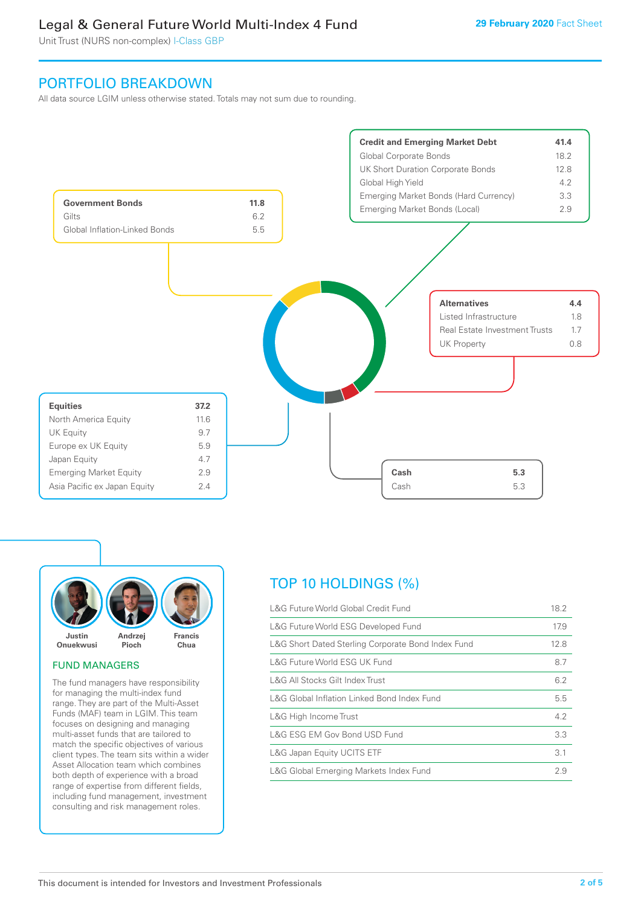# Legal & General Future World Multi-Index 4 Fund

Unit Trust (NURS non-complex) I-Class GBP

## PORTFOLIO BREAKDOWN

All data source LGIM unless otherwise stated. Totals may not sum due to rounding.





#### FUND MANAGERS

The fund managers have responsibility for managing the multi-index fund range. They are part of the Multi-Asset Funds (MAF) team in LGIM. This team focuses on designing and managing multi-asset funds that are tailored to match the specific objectives of various client types. The team sits within a wider Asset Allocation team which combines both depth of experience with a broad range of expertise from different fields, including fund management, investment consulting and risk management roles.

# TOP 10 HOLDINGS (%)

| 18.2 |
|------|
| 17.9 |
| 12.8 |
| 8.7  |
| 6.2  |
| 5.5  |
| 4.2  |
| 3.3  |
| 3.1  |
| 2.9  |
|      |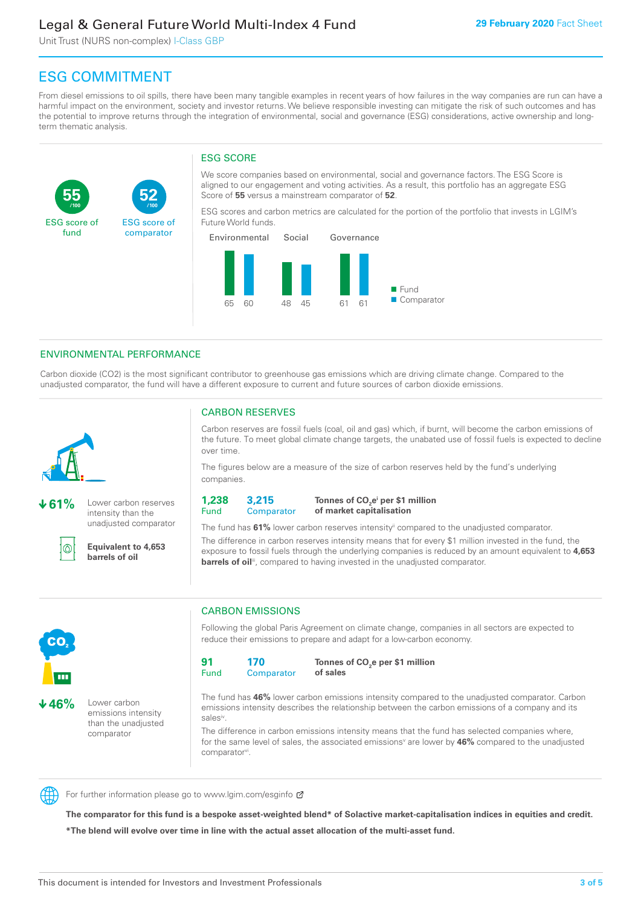# Legal & General Future World Multi-Index 4 Fund

Unit Trust (NURS non-complex) I-Class GBP

**52**

ESG score of comparator

# ESG COMMITMENT

**/100 /100**

From diesel emissions to oil spills, there have been many tangible examples in recent years of how failures in the way companies are run can have a harmful impact on the environment, society and investor returns. We believe responsible investing can mitigate the risk of such outcomes and has the potential to improve returns through the integration of environmental, social and governance (ESG) considerations, active ownership and longterm thematic analysis.

### ESG SCORE

We score companies based on environmental, social and governance factors. The ESG Score is aligned to our engagement and voting activities. As a result, this portfolio has an aggregate ESG Score of **55** versus a mainstream comparator of **52**.

ESG scores and carbon metrics are calculated for the portion of the portfolio that invests in LGIM's Future World funds.



### ENVIRONMENTAL PERFORMANCE

**61%** Lower carbon reserves intensity than the unadjusted comparator

> **Equivalent to 4,653 barrels of oil**

Carbon dioxide (CO2) is the most significant contributor to greenhouse gas emissions which are driving climate change. Compared to the unadjusted comparator, the fund will have a different exposure to current and future sources of carbon dioxide emissions.



൘

**55**

ESG score of fund

CARBON RESERVES

Carbon reserves are fossil fuels (coal, oil and gas) which, if burnt, will become the carbon emissions of the future. To meet global climate change targets, the unabated use of fossil fuels is expected to decline over time.

The figures below are a measure of the size of carbon reserves held by the fund's underlying companies.

**1,238** Fund **3,215 Comparator** 

**Tonnes of CO2 ei per \$1 million of market capitalisation**

The fund has **61%** lower carbon reserves intensityii compared to the unadjusted comparator. The difference in carbon reserves intensity means that for every \$1 million invested in the fund, the exposure to fossil fuels through the underlying companies is reduced by an amount equivalent to **4,653 barrels of oil**<sup>iii</sup>, compared to having invested in the unadjusted comparator.



**46%** Lower carbon emissions intensity than the unadjusted comparator

### CARBON EMISSIONS

Following the global Paris Agreement on climate change, companies in all sectors are expected to reduce their emissions to prepare and adapt for a low-carbon economy.

**91** Fund **170 Comparator** 

**Tonnes of CO2 e per \$1 million of sales**

The fund has **46%** lower carbon emissions intensity compared to the unadjusted comparator. Carbon emissions intensity describes the relationship between the carbon emissions of a company and its salesiv

The difference in carbon emissions intensity means that the fund has selected companies where, for the same level of sales, the associated emissions<sup>v</sup> are lower by 46% compared to the unadjusted comparator<sup>vi</sup>.



For further information please go to www.lgim.com/esginfo Ø

**The comparator for this fund is a bespoke asset-weighted blend\* of Solactive market-capitalisation indices in equities and credit. \*The blend will evolve over time in line with the actual asset allocation of the multi-asset fund.**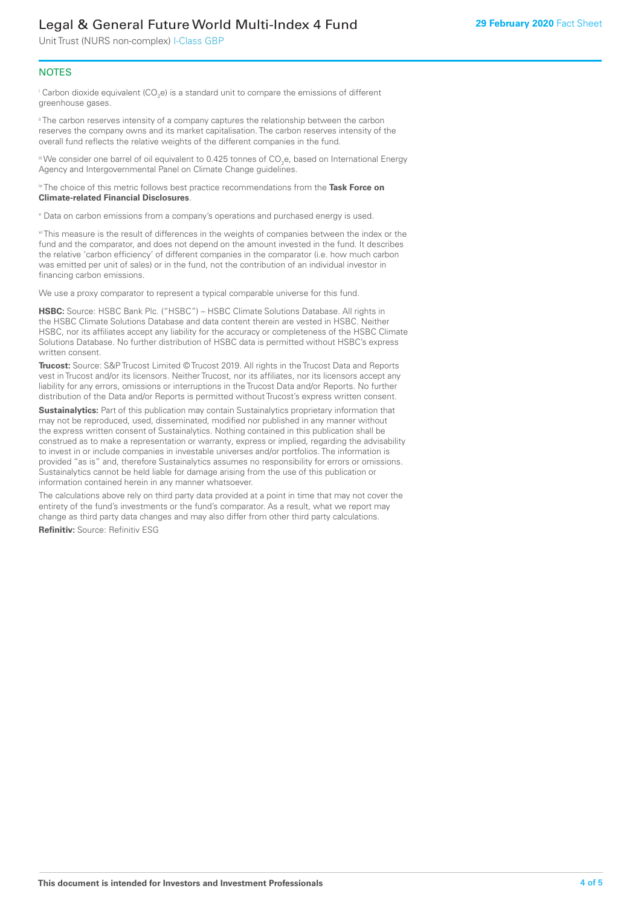# Legal & General Future World Multi-Index 4 Fund

Unit Trust (NURS non-complex) I-Class GBP

### **NOTES**

 $^\mathrm{i}$  Carbon dioxide equivalent (CO<sub>2</sub>e) is a standard unit to compare the emissions of different greenhouse gases.

<sup>ii</sup> The carbon reserves intensity of a company captures the relationship between the carbon reserves the company owns and its market capitalisation. The carbon reserves intensity of the overall fund reflects the relative weights of the different companies in the fund.

iii We consider one barrel of oil equivalent to 0.425 tonnes of CO<sub>2</sub>e, based on International Energy Agency and Intergovernmental Panel on Climate Change guidelines.

#### iv The choice of this metric follows best practice recommendations from the **Task Force on Climate-related Financial Disclosures**.

v Data on carbon emissions from a company's operations and purchased energy is used.

vi This measure is the result of differences in the weights of companies between the index or the fund and the comparator, and does not depend on the amount invested in the fund. It describes the relative 'carbon efficiency' of different companies in the comparator (i.e. how much carbon was emitted per unit of sales) or in the fund, not the contribution of an individual investor in financing carbon emissions.

We use a proxy comparator to represent a typical comparable universe for this fund.

**HSBC:** Source: HSBC Bank Plc. ("HSBC") – HSBC Climate Solutions Database. All rights in the HSBC Climate Solutions Database and data content therein are vested in HSBC. Neither HSBC, nor its affiliates accept any liability for the accuracy or completeness of the HSBC Climate Solutions Database. No further distribution of HSBC data is permitted without HSBC's express written consent.

**Trucost:** Source: S&P Trucost Limited © Trucost 2019. All rights in the Trucost Data and Reports vest in Trucost and/or its licensors. Neither Trucost, nor its affiliates, nor its licensors accept any liability for any errors, omissions or interruptions in the Trucost Data and/or Reports. No further distribution of the Data and/or Reports is permitted without Trucost's express written consent.

**Sustainalytics:** Part of this publication may contain Sustainalytics proprietary information that may not be reproduced, used, disseminated, modified nor published in any manner without the express written consent of Sustainalytics. Nothing contained in this publication shall be construed as to make a representation or warranty, express or implied, regarding the advisability to invest in or include companies in investable universes and/or portfolios. The information is provided "as is" and, therefore Sustainalytics assumes no responsibility for errors or omissions. Sustainalytics cannot be held liable for damage arising from the use of this publication or information contained herein in any manner whatsoever.

The calculations above rely on third party data provided at a point in time that may not cover the entirety of the fund's investments or the fund's comparator. As a result, what we report may change as third party data changes and may also differ from other third party calculations.

**Refinitiv:** Source: Refinitiv ESG